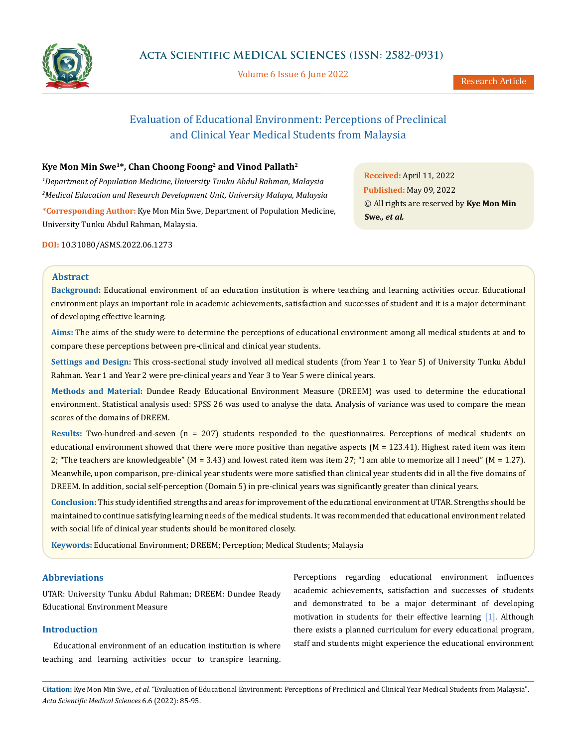

Volume 6 Issue 6 June 2022

# Evaluation of Educational Environment: Perceptions of Preclinical and Clinical Year Medical Students from Malaysia

### **Kye Mon Min Swe1\*, Chan Choong Foong2 and Vinod Pallath2**

*1 Department of Population Medicine, University Tunku Abdul Rahman, Malaysia 2 Medical Education and Research Development Unit, University Malaya, Malaysia*

**\*Corresponding Author:** Kye Mon Min Swe, Department of Population Medicine, University Tunku Abdul Rahman, Malaysia.

**DOI:** [10.31080/ASMS.2022.06.1273](https://actascientific.com/ASMS/pdf/ASMS-06-1273.pdf)

**Received:** April 11, 2022 **Published:** May 09, 2022 © All rights are reserved by **Kye Mon Min Swe***., et al.*

#### **Abstract**

**Background:** Educational environment of an education institution is where teaching and learning activities occur. Educational environment plays an important role in academic achievements, satisfaction and successes of student and it is a major determinant of developing effective learning.

**Aims:** The aims of the study were to determine the perceptions of educational environment among all medical students at and to compare these perceptions between pre-clinical and clinical year students.

**Settings and Design:** This cross-sectional study involved all medical students (from Year 1 to Year 5) of University Tunku Abdul Rahman. Year 1 and Year 2 were pre-clinical years and Year 3 to Year 5 were clinical years.

**Methods and Material:** Dundee Ready Educational Environment Measure (DREEM) was used to determine the educational environment. Statistical analysis used: SPSS 26 was used to analyse the data. Analysis of variance was used to compare the mean scores of the domains of DREEM.

**Results:** Two-hundred-and-seven (n = 207) students responded to the questionnaires. Perceptions of medical students on educational environment showed that there were more positive than negative aspects ( $M = 123.41$ ). Highest rated item was item 2; "The teachers are knowledgeable" (M = 3.43) and lowest rated item was item 27; "I am able to memorize all I need" (M = 1.27). Meanwhile, upon comparison, pre-clinical year students were more satisfied than clinical year students did in all the five domains of DREEM. In addition, social self-perception (Domain 5) in pre-clinical years was significantly greater than clinical years.

**Conclusion:** This study identified strengths and areas for improvement of the educational environment at UTAR. Strengths should be maintained to continue satisfying learning needs of the medical students. It was recommended that educational environment related with social life of clinical year students should be monitored closely.

**Keywords:** Educational Environment; DREEM; Perception; Medical Students; Malaysia

#### **Abbreviations**

UTAR: University Tunku Abdul Rahman; DREEM: Dundee Ready Educational Environment Measure

## **Introduction**

Educational environment of an education institution is where teaching and learning activities occur to transpire learning.

Perceptions regarding educational environment influences academic achievements, satisfaction and successes of students and demonstrated to be a major determinant of developing motivation in students for their effective learning [1]. Although there exists a planned curriculum for every educational program, staff and students might experience the educational environment

**Citation:** Kye Mon Min Swe*., et al.* "Evaluation of Educational Environment: Perceptions of Preclinical and Clinical Year Medical Students from Malaysia". *Acta Scientific Medical Sciences* 6.6 (2022): 85-95.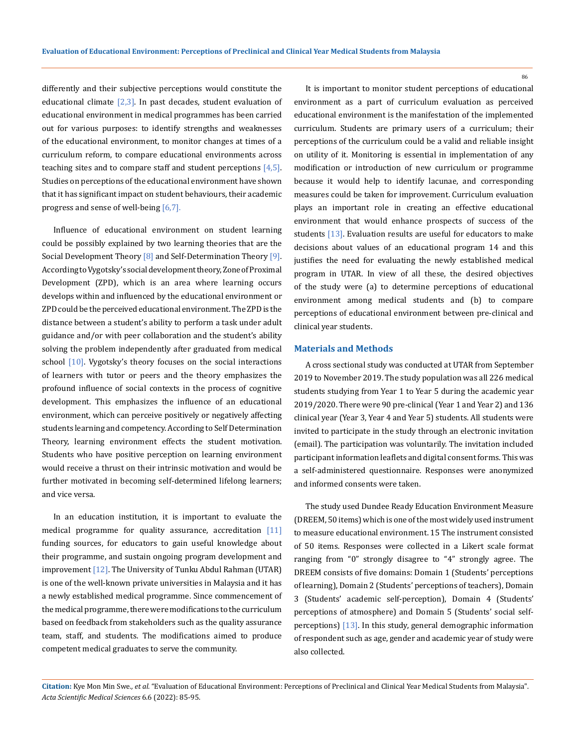differently and their subjective perceptions would constitute the educational climate  $\lceil 2,3 \rceil$ . In past decades, student evaluation of educational environment in medical programmes has been carried out for various purposes: to identify strengths and weaknesses of the educational environment, to monitor changes at times of a curriculum reform, to compare educational environments across teaching sites and to compare staff and student perceptions  $[4,5]$ . Studies on perceptions of the educational environment have shown that it has significant impact on student behaviours, their academic progress and sense of well-being [6,7].

Influence of educational environment on student learning could be possibly explained by two learning theories that are the Social Development Theory  $[8]$  and Self-Determination Theory  $[9]$ . According to Vygotsky's social development theory, Zone of Proximal Development (ZPD), which is an area where learning occurs develops within and influenced by the educational environment or ZPD could be the perceived educational environment. The ZPD is the distance between a student's ability to perform a task under adult guidance and/or with peer collaboration and the student's ability solving the problem independently after graduated from medical school [10]. Vygotsky's theory focuses on the social interactions of learners with tutor or peers and the theory emphasizes the profound influence of social contexts in the process of cognitive development. This emphasizes the influence of an educational environment, which can perceive positively or negatively affecting students learning and competency. According to Self Determination Theory, learning environment effects the student motivation. Students who have positive perception on learning environment would receive a thrust on their intrinsic motivation and would be further motivated in becoming self-determined lifelong learners; and vice versa.

In an education institution, it is important to evaluate the medical programme for quality assurance, accreditation  $[11]$ funding sources, for educators to gain useful knowledge about their programme, and sustain ongoing program development and improvement [12]. The University of Tunku Abdul Rahman (UTAR) is one of the well-known private universities in Malaysia and it has a newly established medical programme. Since commencement of the medical programme, there were modifications to the curriculum based on feedback from stakeholders such as the quality assurance team, staff, and students. The modifications aimed to produce competent medical graduates to serve the community.

It is important to monitor student perceptions of educational environment as a part of curriculum evaluation as perceived educational environment is the manifestation of the implemented curriculum. Students are primary users of a curriculum; their perceptions of the curriculum could be a valid and reliable insight on utility of it. Monitoring is essential in implementation of any modification or introduction of new curriculum or programme because it would help to identify lacunae, and corresponding measures could be taken for improvement. Curriculum evaluation plays an important role in creating an effective educational environment that would enhance prospects of success of the students [13]. Evaluation results are useful for educators to make decisions about values of an educational program 14 and this justifies the need for evaluating the newly established medical program in UTAR. In view of all these, the desired objectives of the study were (a) to determine perceptions of educational environment among medical students and (b) to compare perceptions of educational environment between pre-clinical and clinical year students.

#### **Materials and Methods**

A cross sectional study was conducted at UTAR from September 2019 to November 2019. The study population was all 226 medical students studying from Year 1 to Year 5 during the academic year 2019/2020. There were 90 pre-clinical (Year 1 and Year 2) and 136 clinical year (Year 3, Year 4 and Year 5) students. All students were invited to participate in the study through an electronic invitation (email). The participation was voluntarily. The invitation included participant information leaflets and digital consent forms. This was a self-administered questionnaire. Responses were anonymized and informed consents were taken.

The study used Dundee Ready Education Environment Measure (DREEM, 50 items) which is one of the most widely used instrument to measure educational environment. 15 The instrument consisted of 50 items. Responses were collected in a Likert scale format ranging from "0" strongly disagree to "4" strongly agree. The DREEM consists of five domains: Domain 1 (Students' perceptions of learning), Domain 2 (Students' perceptions of teachers), Domain 3 (Students' academic self-perception), Domain 4 (Students' perceptions of atmosphere) and Domain 5 (Students' social selfperceptions) [13]. In this study, general demographic information of respondent such as age, gender and academic year of study were also collected.

**Citation:** Kye Mon Min Swe*., et al.* "Evaluation of Educational Environment: Perceptions of Preclinical and Clinical Year Medical Students from Malaysia". *Acta Scientific Medical Sciences* 6.6 (2022): 85-95.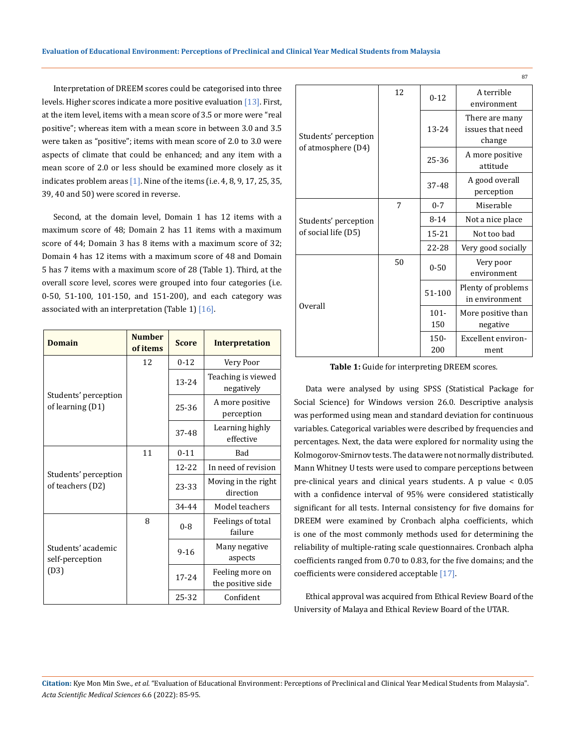Interpretation of DREEM scores could be categorised into three levels. Higher scores indicate a more positive evaluation [13]. First, at the item level, items with a mean score of 3.5 or more were "real positive"; whereas item with a mean score in between 3.0 and 3.5 were taken as "positive"; items with mean score of 2.0 to 3.0 were aspects of climate that could be enhanced; and any item with a mean score of 2.0 or less should be examined more closely as it indicates problem areas  $[1]$ . Nine of the items (i.e. 4, 8, 9, 17, 25, 35, 39, 40 and 50) were scored in reverse.

Second, at the domain level, Domain 1 has 12 items with a maximum score of 48; Domain 2 has 11 items with a maximum score of 44; Domain 3 has 8 items with a maximum score of 32; Domain 4 has 12 items with a maximum score of 48 and Domain 5 has 7 items with a maximum score of 28 (Table 1). Third, at the overall score level, scores were grouped into four categories (i.e. 0-50, 51-100, 101-150, and 151-200), and each category was associated with an interpretation (Table 1)  $[16]$ .

| <b>Domain</b>                            | <b>Number</b><br>of items | <b>Score</b> | <b>Interpretation</b>                |
|------------------------------------------|---------------------------|--------------|--------------------------------------|
|                                          | 12                        | $0 - 12$     | Very Poor                            |
|                                          |                           | 13-24        | Teaching is viewed<br>negatively     |
| Students' perception<br>of learning (D1) |                           | 25-36        | A more positive<br>perception        |
|                                          |                           | 37-48        | Learning highly<br>effective         |
|                                          | 11                        | $0 - 11$     | Bad                                  |
|                                          |                           | 12-22        | In need of revision                  |
| Students' perception<br>of teachers (D2) |                           | 23-33        | Moving in the right<br>direction     |
|                                          |                           | 34-44        | Model teachers                       |
|                                          | 8                         | $0 - 8$      | Feelings of total<br>failure         |
| Students' academic<br>self-perception    |                           | $9 - 16$     | Many negative<br>aspects             |
| (D3)                                     |                           | $17 - 24$    | Feeling more on<br>the positive side |
|                                          |                           | 25-32        | Confident                            |

|                                            |    |           | 87                                           |
|--------------------------------------------|----|-----------|----------------------------------------------|
|                                            | 12 | $0 - 12$  | A terrible<br>environment                    |
| Students' perception<br>of atmosphere (D4) |    | 13-24     | There are many<br>issues that need<br>change |
|                                            |    | 25-36     | A more positive<br>attitude                  |
|                                            |    | 37-48     | A good overall<br>perception                 |
|                                            | 7  | $0 - 7$   | Miserable                                    |
| Students' perception                       |    | $8 - 14$  | Not a nice place                             |
| of social life (D5)                        |    | $15 - 21$ | Not too bad                                  |
|                                            |    | 22-28     | Very good socially                           |
|                                            | 50 | $0 - 50$  | Very poor<br>environment                     |
| Overall                                    |    | 51-100    | Plenty of problems<br>in environment         |
|                                            |    | $101 -$   | More positive than                           |
|                                            |    | 150       | negative                                     |
|                                            |    | $150 -$   | Excellent environ-                           |
|                                            |    | 200       | ment                                         |

**Table 1:** Guide for interpreting DREEM scores.

Data were analysed by using SPSS (Statistical Package for Social Science) for Windows version 26.0. Descriptive analysis was performed using mean and standard deviation for continuous variables. Categorical variables were described by frequencies and percentages. Next, the data were explored for normality using the Kolmogorov-Smirnov tests. The data were not normally distributed. Mann Whitney U tests were used to compare perceptions between pre-clinical years and clinical years students. A p value < 0.05 with a confidence interval of 95% were considered statistically significant for all tests. Internal consistency for five domains for DREEM were examined by Cronbach alpha coefficients, which is one of the most commonly methods used for determining the reliability of multiple-rating scale questionnaires. Cronbach alpha coefficients ranged from 0.70 to 0.83, for the five domains; and the coefficients were considered acceptable [17].

Ethical approval was acquired from Ethical Review Board of the University of Malaya and Ethical Review Board of the UTAR.

**Citation:** Kye Mon Min Swe*., et al.* "Evaluation of Educational Environment: Perceptions of Preclinical and Clinical Year Medical Students from Malaysia". *Acta Scientific Medical Sciences* 6.6 (2022): 85-95.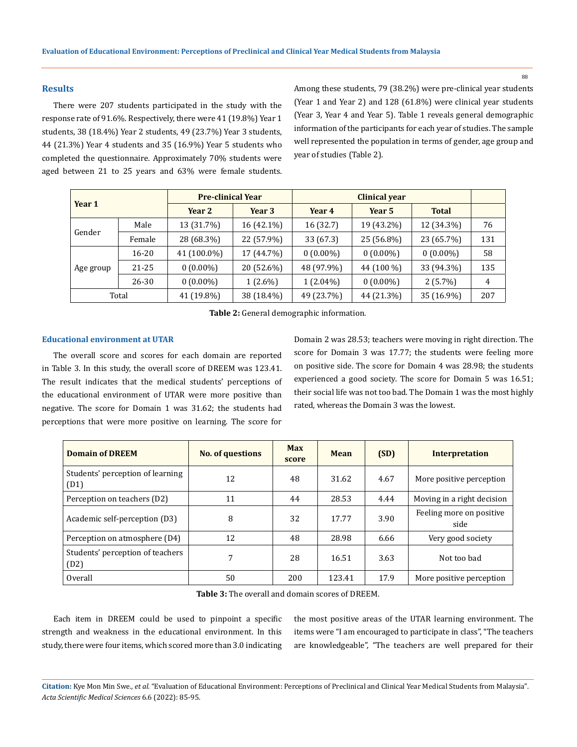### **Results**

There were 207 students participated in the study with the response rate of 91.6%. Respectively, there were 41 (19.8%) Year 1 students, 38 (18.4%) Year 2 students, 49 (23.7%) Year 3 students, 44 (21.3%) Year 4 students and 35 (16.9%) Year 5 students who completed the questionnaire. Approximately 70% students were aged between 21 to 25 years and 63% were female students. Among these students, 79 (38.2%) were pre-clinical year students (Year 1 and Year 2) and 128 (61.8%) were clinical year students (Year 3, Year 4 and Year 5). Table 1 reveals general demographic information of the participants for each year of studies. The sample well represented the population in terms of gender, age group and year of studies (Table 2).

|           |           | <b>Pre-clinical Year</b> |            | <b>Clinical year</b> |             |              |     |
|-----------|-----------|--------------------------|------------|----------------------|-------------|--------------|-----|
| Year 1    |           | Year 2                   | Year 3     | Year 4               | Year 5      | <b>Total</b> |     |
|           | Male      | 13 (31.7%)               | 16 (42.1%) | 16 (32.7)            | 19 (43.2%)  | 12 (34.3%)   | 76  |
| Gender    | Female    | 28 (68.3%)               | 22 (57.9%) | 33 (67.3)            | 25 (56.8%)  | 23 (65.7%)   | 131 |
|           | $16 - 20$ | 41 (100.0%)              | 17 (44.7%) | $0(0.00\%)$          | $0(0.00\%)$ | $0(0.00\%)$  | 58  |
| Age group | 21-25     | $0(0.00\%)$              | 20 (52.6%) | 48 (97.9%)           | 44 (100 %)  | 33 (94.3%)   | 135 |
|           | 26-30     | $0(0.00\%)$              | $1(2.6\%)$ | $1(2.04\%)$          | $0(0.00\%)$ | $2(5.7\%)$   | 4   |
|           | Total     | 41 (19.8%)               | 38 (18.4%) | 49 (23.7%)           | 44 (21.3%)  | 35 (16.9%)   | 207 |

**Table 2:** General demographic information.

#### **Educational environment at UTAR**

The overall score and scores for each domain are reported in Table 3. In this study, the overall score of DREEM was 123.41. The result indicates that the medical students' perceptions of the educational environment of UTAR were more positive than negative. The score for Domain 1 was 31.62; the students had perceptions that were more positive on learning. The score for Domain 2 was 28.53; teachers were moving in right direction. The score for Domain 3 was 17.77; the students were feeling more on positive side. The score for Domain 4 was 28.98; the students experienced a good society. The score for Domain 5 was 16.51; their social life was not too bad. The Domain 1 was the most highly rated, whereas the Domain 3 was the lowest.

| <b>Domain of DREEM</b>                   | <b>No. of questions</b> | <b>Max</b><br>score | Mean   | (SD) | <b>Interpretation</b>            |
|------------------------------------------|-------------------------|---------------------|--------|------|----------------------------------|
| Students' perception of learning<br>(D1) | 12                      | 48                  | 31.62  | 4.67 | More positive perception         |
| Perception on teachers (D2)              | 11                      | 44                  | 28.53  | 4.44 | Moving in a right decision       |
| Academic self-perception (D3)            | 8                       | 32                  | 17.77  | 3.90 | Feeling more on positive<br>side |
| Perception on atmosphere (D4)            | 12                      | 48                  | 28.98  | 6.66 | Very good society                |
| Students' perception of teachers<br>(D2) | 7                       | 28                  | 16.51  | 3.63 | Not too bad                      |
| Overall                                  | 50                      | 200                 | 123.41 | 17.9 | More positive perception         |

**Table 3:** The overall and domain scores of DREEM.

Each item in DREEM could be used to pinpoint a specific strength and weakness in the educational environment. In this study, there were four items, which scored more than 3.0 indicating the most positive areas of the UTAR learning environment. The items were "I am encouraged to participate in class", "The teachers are knowledgeable", "The teachers are well prepared for their

**Citation:** Kye Mon Min Swe*., et al.* "Evaluation of Educational Environment: Perceptions of Preclinical and Clinical Year Medical Students from Malaysia". *Acta Scientific Medical Sciences* 6.6 (2022): 85-95.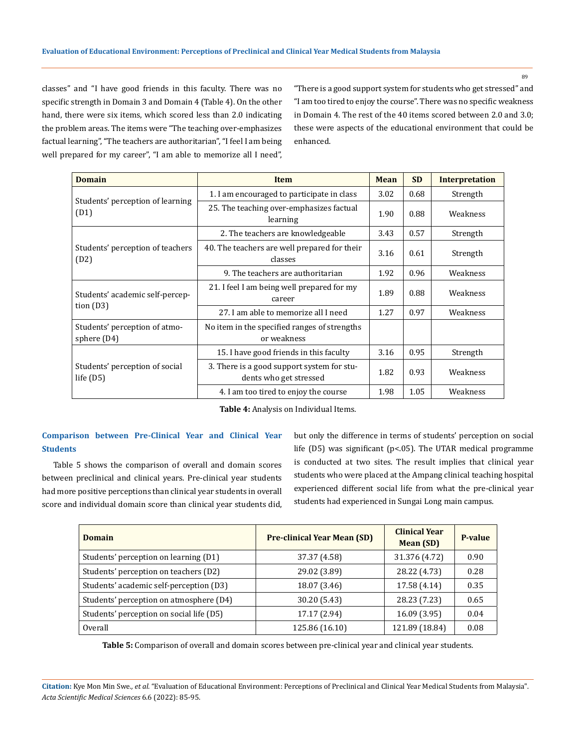classes" and "I have good friends in this faculty. There was no specific strength in Domain 3 and Domain 4 (Table 4). On the other hand, there were six items, which scored less than 2.0 indicating the problem areas. The items were "The teaching over-emphasizes factual learning", "The teachers are authoritarian", "I feel I am being well prepared for my career", "I am able to memorize all I need", "There is a good support system for students who get stressed" and "I am too tired to enjoy the course". There was no specific weakness in Domain 4. The rest of the 40 items scored between 2.0 and 3.0; these were aspects of the educational environment that could be enhanced.

| <b>Domain</b>                                 | <b>Item</b>                                                          | <b>Mean</b> | <b>SD</b> | <b>Interpretation</b> |
|-----------------------------------------------|----------------------------------------------------------------------|-------------|-----------|-----------------------|
|                                               | 1. I am encouraged to participate in class                           | 3.02        | 0.68      | Strength              |
| Students' perception of learning<br>(D1)      | 25. The teaching over-emphasizes factual<br>learning                 | 1.90        | 0.88      | Weakness              |
|                                               | 2. The teachers are knowledgeable                                    | 3.43        | 0.57      | Strength              |
| Students' perception of teachers<br>(D2)      | 40. The teachers are well prepared for their<br>classes              |             | 0.61      | Strength              |
|                                               | 9. The teachers are authoritarian                                    | 1.92        | 0.96      | Weakness              |
| Students' academic self-percep-               | 21. I feel I am being well prepared for my<br>career                 | 1.89        | 0.88      | Weakness              |
| tion $(D3)$                                   | 27. Lam able to memorize all I need                                  | 1.27        | 0.97      | Weakness              |
| Students' perception of atmo-<br>sphere (D4)  | No item in the specified ranges of strengths<br>or weakness          |             |           |                       |
|                                               | 15. I have good friends in this faculty                              | 3.16        | 0.95      | Strength              |
| Students' perception of social<br>life $(D5)$ | 3. There is a good support system for stu-<br>dents who get stressed | 1.82        | 0.93      | Weakness              |
|                                               | 4. I am too tired to enjoy the course                                | 1.98        | 1.05      | Weakness              |

**Table 4:** Analysis on Individual Items.

## **Comparison between Pre-Clinical Year and Clinical Year Students**

Table 5 shows the comparison of overall and domain scores between preclinical and clinical years. Pre-clinical year students had more positive perceptions than clinical year students in overall score and individual domain score than clinical year students did, but only the difference in terms of students' perception on social life (D5) was significant (p<.05). The UTAR medical programme is conducted at two sites. The result implies that clinical year students who were placed at the Ampang clinical teaching hospital experienced different social life from what the pre-clinical year students had experienced in Sungai Long main campus.

| <b>Domain</b>                            | <b>Pre-clinical Year Mean (SD)</b> | <b>Clinical Year</b><br>Mean (SD) | P-value |
|------------------------------------------|------------------------------------|-----------------------------------|---------|
| Students' perception on learning (D1)    | 37.37 (4.58)                       | 31.376 (4.72)                     | 0.90    |
| Students' perception on teachers (D2)    | 29.02 (3.89)                       | 28.22 (4.73)                      | 0.28    |
| Students' academic self-perception (D3)  | 18.07 (3.46)                       | 17.58 (4.14)                      | 0.35    |
| Students' perception on atmosphere (D4)  | 30.20 (5.43)                       | 28.23 (7.23)                      | 0.65    |
| Students' perception on social life (D5) | 17.17 (2.94)                       | 16.09(3.95)                       | 0.04    |
| Overall                                  | 125.86 (16.10)                     | 121.89 (18.84)                    | 0.08    |

**Table 5:** Comparison of overall and domain scores between pre-clinical year and clinical year students.

**Citation:** Kye Mon Min Swe*., et al.* "Evaluation of Educational Environment: Perceptions of Preclinical and Clinical Year Medical Students from Malaysia". *Acta Scientific Medical Sciences* 6.6 (2022): 85-95.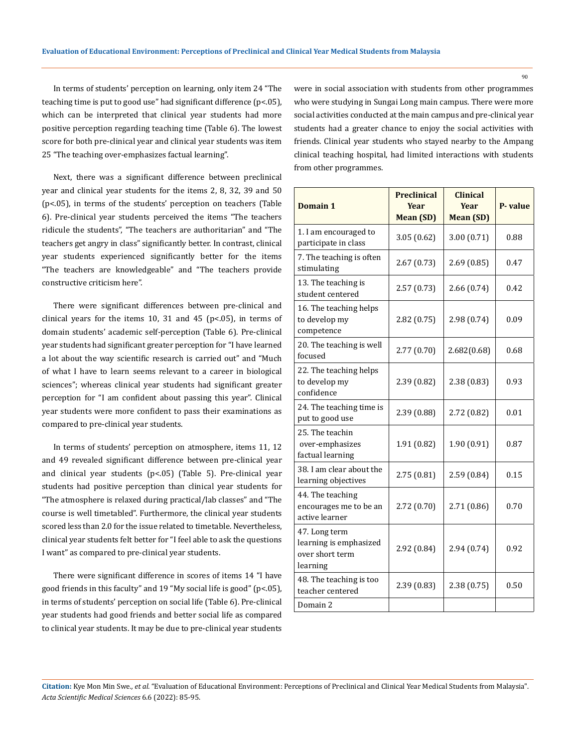In terms of students' perception on learning, only item 24 "The teaching time is put to good use" had significant difference (p<.05), which can be interpreted that clinical year students had more positive perception regarding teaching time (Table 6). The lowest score for both pre-clinical year and clinical year students was item 25 "The teaching over-emphasizes factual learning".

Next, there was a significant difference between preclinical year and clinical year students for the items 2, 8, 32, 39 and 50 (p<.05), in terms of the students' perception on teachers (Table 6). Pre-clinical year students perceived the items "The teachers ridicule the students", "The teachers are authoritarian" and "The teachers get angry in class" significantly better. In contrast, clinical year students experienced significantly better for the items "The teachers are knowledgeable" and "The teachers provide constructive criticism here".

There were significant differences between pre-clinical and clinical years for the items 10, 31 and 45 ( $p$ <.05), in terms of domain students' academic self-perception (Table 6). Pre-clinical year students had significant greater perception for "I have learned a lot about the way scientific research is carried out" and "Much of what I have to learn seems relevant to a career in biological sciences"; whereas clinical year students had significant greater perception for "I am confident about passing this year". Clinical year students were more confident to pass their examinations as compared to pre-clinical year students.

In terms of students' perception on atmosphere, items 11, 12 and 49 revealed significant difference between pre-clinical year and clinical year students (p<.05) (Table 5). Pre-clinical year students had positive perception than clinical year students for "The atmosphere is relaxed during practical/lab classes" and "The course is well timetabled". Furthermore, the clinical year students scored less than 2.0 for the issue related to timetable. Nevertheless, clinical year students felt better for "I feel able to ask the questions I want" as compared to pre-clinical year students.

There were significant difference in scores of items 14 "I have good friends in this faculty" and 19 "My social life is good" (p<.05), in terms of students' perception on social life (Table 6). Pre-clinical year students had good friends and better social life as compared to clinical year students. It may be due to pre-clinical year students were in social association with students from other programmes who were studying in Sungai Long main campus. There were more social activities conducted at the main campus and pre-clinical year students had a greater chance to enjoy the social activities with friends. Clinical year students who stayed nearby to the Ampang clinical teaching hospital, had limited interactions with students from other programmes.

| Domain 1                                                               | <b>Preclinical</b><br><b>Year</b><br>Mean (SD) | <b>Clinical</b><br><b>Year</b><br><b>Mean (SD)</b> | P-value |
|------------------------------------------------------------------------|------------------------------------------------|----------------------------------------------------|---------|
| 1. I am encouraged to<br>participate in class                          | 3.05(0.62)                                     | 3.00(0.71)                                         | 0.88    |
| 7. The teaching is often<br>stimulating                                | 2.67(0.73)                                     | 2.69(0.85)                                         | 0.47    |
| 13. The teaching is<br>student centered                                | 2.57(0.73)                                     | 2.66(0.74)                                         | 0.42    |
| 16. The teaching helps<br>to develop my<br>competence                  | 2.82(0.75)                                     | 2.98(0.74)                                         | 0.09    |
| 20. The teaching is well<br>focused                                    | 2.77(0.70)                                     | 2.682(0.68)                                        | 0.68    |
| 22. The teaching helps<br>to develop my<br>confidence                  | 2.39(0.82)                                     | 2.38(0.83)                                         | 0.93    |
| 24. The teaching time is<br>put to good use                            | 2.39 (0.88)                                    | 2.72 (0.82)                                        | 0.01    |
| 25. The teachin<br>over-emphasizes<br>factual learning                 | 1.91 (0.82)                                    | 1.90 (0.91)                                        | 0.87    |
| 38. I am clear about the<br>learning objectives                        | 2.75(0.81)                                     | 2.59(0.84)                                         | 0.15    |
| 44. The teaching<br>encourages me to be an<br>active learner           | 2.72(0.70)                                     | 2.71 (0.86)                                        | 0.70    |
| 47. Long term<br>learning is emphasized<br>over short term<br>learning | 2.92 (0.84)                                    | 2.94 (0.74)                                        | 0.92    |
| 48. The teaching is too<br>teacher centered                            | 2.39(0.83)                                     | 2.38(0.75)                                         | 0.50    |
| Domain 2                                                               |                                                |                                                    |         |

**Citation:** Kye Mon Min Swe*., et al.* "Evaluation of Educational Environment: Perceptions of Preclinical and Clinical Year Medical Students from Malaysia". *Acta Scientific Medical Sciences* 6.6 (2022): 85-95.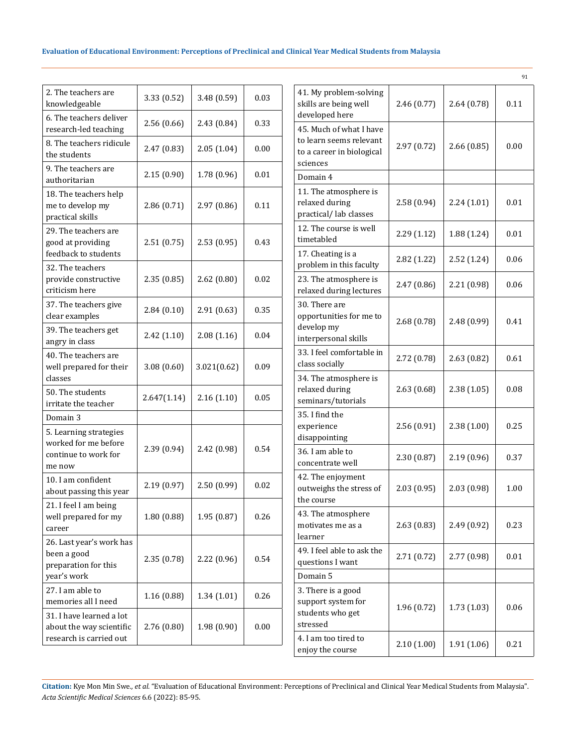| 3.33 (0.52) | 3.48 (0.59) | 0.03 |
|-------------|-------------|------|
| 2.56(0.66)  | 2.43 (0.84) | 0.33 |
| 2.47(0.83)  | 2.05(1.04)  | 0.00 |
| 2.15(0.90)  | 1.78 (0.96) | 0.01 |
| 2.86(0.71)  | 2.97 (0.86) | 0.11 |
| 2.51(0.75)  | 2.53(0.95)  | 0.43 |
| 2.35(0.85)  | 2.62(0.80)  | 0.02 |
| 2.84(0.10)  | 2.91(0.63)  | 0.35 |
| 2.42(1.10)  | 2.08(1.16)  | 0.04 |
| 3.08(0.60)  | 3.021(0.62) | 0.09 |
| 2.647(1.14) | 2.16(1.10)  | 0.05 |
|             |             |      |
| 2.39 (0.94) | 2.42 (0.98) | 0.54 |
| 2.19(0.97)  | 2.50 (0.99) | 0.02 |
| 1.80(0.88)  | 1.95(0.87)  | 0.26 |
| 2.35(0.78)  | 2.22 (0.96) | 0.54 |
| 1.16 (0.88) | 1.34(1.01)  | 0.26 |
| 2.76 (0.80) | 1.98 (0.90) | 0.00 |
|             |             |      |

|                                                                                             |             |             | 91   |
|---------------------------------------------------------------------------------------------|-------------|-------------|------|
| 41. My problem-solving<br>skills are being well<br>developed here                           | 2.46(0.77)  | 2.64(0.78)  | 0.11 |
| 45. Much of what I have<br>to learn seems relevant<br>to a career in biological<br>sciences | 2.97(0.72)  | 2.66(0.85)  | 0.00 |
| Domain 4                                                                                    |             |             |      |
| 11. The atmosphere is<br>relaxed during<br>practical/lab classes                            | 2.58(0.94)  | 2.24(1.01)  | 0.01 |
| 12. The course is well<br>timetabled                                                        | 2.29(1.12)  | 1.88 (1.24) | 0.01 |
| 17. Cheating is a<br>problem in this faculty                                                | 2.82 (1.22) | 2.52(1.24)  | 0.06 |
| 23. The atmosphere is<br>relaxed during lectures                                            | 2.47(0.86)  | 2.21 (0.98) | 0.06 |
| 30. There are<br>opportunities for me to<br>develop my<br>interpersonal skills              | 2.68(0.78)  | 2.48 (0.99) | 0.41 |
| 33. I feel comfortable in<br>class socially                                                 | 2.72 (0.78) | 2.63(0.82)  | 0.61 |
| 34. The atmosphere is<br>relaxed during<br>seminars/tutorials                               | 2.63(0.68)  | 2.38(1.05)  | 0.08 |
| 35. I find the<br>experience<br>disappointing                                               | 2.56(0.91)  | 2.38(1.00)  | 0.25 |
| 36. I am able to<br>concentrate well                                                        | 2.30(0.87)  | 2.19 (0.96) | 0.37 |
| 42. The enjoyment<br>outweighs the stress of<br>the course                                  | 2.03(0.95)  | 2.03 (0.98) | 1.00 |
| 43. The atmosphere<br>motivates me as a<br>learner                                          | 2.63(0.83)  | 2.49 (0.92) | 0.23 |
| 49. I feel able to ask the<br>questions I want                                              | 2.71(0.72)  | 2.77 (0.98) | 0.01 |
| Domain 5                                                                                    |             |             |      |
| 3. There is a good<br>support system for<br>students who get<br>stressed                    | 1.96 (0.72) | 1.73 (1.03) | 0.06 |
| 4. I am too tired to<br>enjoy the course                                                    | 2.10(1.00)  | 1.91 (1.06) | 0.21 |

**Citation:** Kye Mon Min Swe*., et al.* "Evaluation of Educational Environment: Perceptions of Preclinical and Clinical Year Medical Students from Malaysia". *Acta Scientific Medical Sciences* 6.6 (2022): 85-95.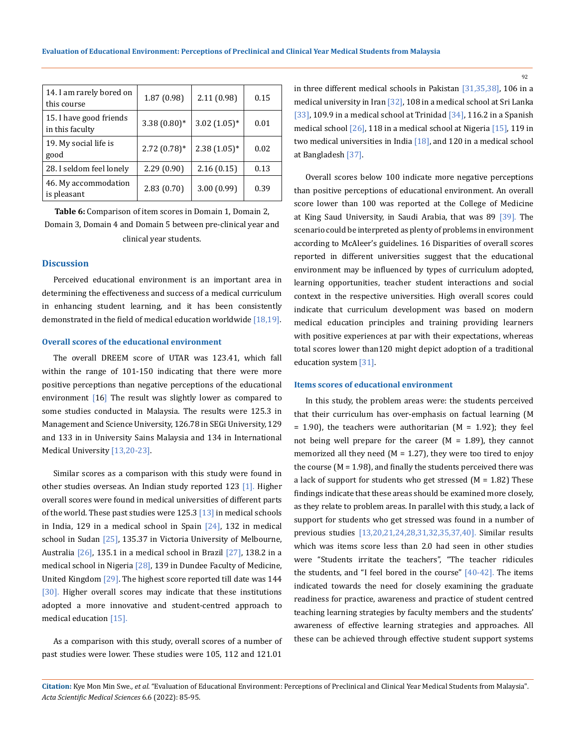| 14. I am rarely bored on<br>this course    | 1.87(0.98)     | 2.11(0.98)    | 0.15 |
|--------------------------------------------|----------------|---------------|------|
| 15. I have good friends<br>in this faculty | $3.38(0.80)*$  | $3.02(1.05)*$ | 0.01 |
| 19. My social life is<br>good              | $2.72(0.78)$ * | $2.38(1.05)*$ | 0.02 |
| 28. I seldom feel lonely                   | 2.29(0.90)     | 2.16(0.15)    | 0.13 |
| 46. My accommodation<br>is pleasant        | 2.83(0.70)     | 3.00 (0.99)   | 0.39 |

**Table 6:** Comparison of item scores in Domain 1, Domain 2, Domain 3, Domain 4 and Domain 5 between pre-clinical year and clinical year students.

#### **Discussion**

Perceived educational environment is an important area in determining the effectiveness and success of a medical curriculum in enhancing student learning, and it has been consistently demonstrated in the field of medical education worldwide [18,19].

#### **Overall scores of the educational environment**

The overall DREEM score of UTAR was 123.41, which fall within the range of 101-150 indicating that there were more positive perceptions than negative perceptions of the educational environment [16] The result was slightly lower as compared to some studies conducted in Malaysia. The results were 125.3 in Management and Science University, 126.78 in SEGi University, 129 and 133 in in University Sains Malaysia and 134 in International Medical University [13,20-23].

Similar scores as a comparison with this study were found in other studies overseas. An Indian study reported 123 [1]. Higher overall scores were found in medical universities of different parts of the world. These past studies were  $125.3$  [13] in medical schools in India, 129 in a medical school in Spain [24], 132 in medical school in Sudan  $[25]$ , 135.37 in Victoria University of Melbourne, Australia [26], 135.1 in a medical school in Brazil [27], 138.2 in a medical school in Nigeria [28], 139 in Dundee Faculty of Medicine, United Kingdom [29]. The highest score reported till date was 144 [30]. Higher overall scores may indicate that these institutions adopted a more innovative and student-centred approach to medical education [15].

As a comparison with this study, overall scores of a number of past studies were lower. These studies were 105, 112 and 121.01 in three different medical schools in Pakistan [31,35,38], 106 in a medical university in Iran [32], 108 in a medical school at Sri Lanka [33], 109.9 in a medical school at Trinidad  $[34]$ , 116.2 in a Spanish medical school [26], 118 in a medical school at Nigeria [15], 119 in two medical universities in India [18], and 120 in a medical school at Bangladesh [37].

Overall scores below 100 indicate more negative perceptions than positive perceptions of educational environment. An overall score lower than 100 was reported at the College of Medicine at King Saud University, in Saudi Arabia, that was 89 [39]. The scenario could be interpreted as plenty of problems in environment according to McAleer's guidelines. 16 Disparities of overall scores reported in different universities suggest that the educational environment may be influenced by types of curriculum adopted, learning opportunities, teacher student interactions and social context in the respective universities. High overall scores could indicate that curriculum development was based on modern medical education principles and training providing learners with positive experiences at par with their expectations, whereas total scores lower than120 might depict adoption of a traditional education system [31].

#### **Items scores of educational environment**

In this study, the problem areas were: the students perceived that their curriculum has over-emphasis on factual learning (M  $= 1.90$ ), the teachers were authoritarian (M = 1.92); they feel not being well prepare for the career  $(M = 1.89)$ , they cannot memorized all they need ( $M = 1.27$ ), they were too tired to enjoy the course  $(M = 1.98)$ , and finally the students perceived there was a lack of support for students who get stressed  $(M = 1.82)$  These findings indicate that these areas should be examined more closely, as they relate to problem areas. In parallel with this study, a lack of support for students who get stressed was found in a number of previous studies [13,20,21,24,28,31,32,35,37,40]. Similar results which was items score less than 2.0 had seen in other studies were "Students irritate the teachers", "The teacher ridicules the students, and "I feel bored in the course" [40-42]. The items indicated towards the need for closely examining the graduate readiness for practice, awareness and practice of student centred teaching learning strategies by faculty members and the students' awareness of effective learning strategies and approaches. All these can be achieved through effective student support systems

**Citation:** Kye Mon Min Swe*., et al.* "Evaluation of Educational Environment: Perceptions of Preclinical and Clinical Year Medical Students from Malaysia". *Acta Scientific Medical Sciences* 6.6 (2022): 85-95.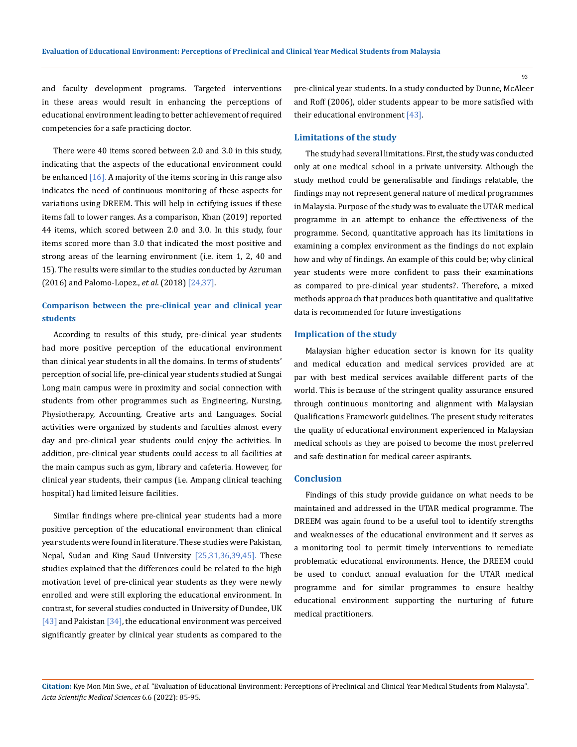and faculty development programs. Targeted interventions in these areas would result in enhancing the perceptions of educational environment leading to better achievement of required competencies for a safe practicing doctor.

There were 40 items scored between 2.0 and 3.0 in this study, indicating that the aspects of the educational environment could be enhanced  $[16]$ . A majority of the items scoring in this range also indicates the need of continuous monitoring of these aspects for variations using DREEM. This will help in ectifying issues if these items fall to lower ranges. As a comparison, Khan (2019) reported 44 items, which scored between 2.0 and 3.0. In this study, four items scored more than 3.0 that indicated the most positive and strong areas of the learning environment (i.e. item 1, 2, 40 and 15). The results were similar to the studies conducted by Azruman (2016) and Palomo-Lopez., *et al*. (2018) [24,37].

## **Comparison between the pre-clinical year and clinical year students**

According to results of this study, pre-clinical year students had more positive perception of the educational environment than clinical year students in all the domains. In terms of students' perception of social life, pre-clinical year students studied at Sungai Long main campus were in proximity and social connection with students from other programmes such as Engineering, Nursing, Physiotherapy, Accounting, Creative arts and Languages. Social activities were organized by students and faculties almost every day and pre-clinical year students could enjoy the activities. In addition, pre-clinical year students could access to all facilities at the main campus such as gym, library and cafeteria. However, for clinical year students, their campus (i.e. Ampang clinical teaching hospital) had limited leisure facilities.

Similar findings where pre-clinical year students had a more positive perception of the educational environment than clinical year students were found in literature. These studies were Pakistan, Nepal, Sudan and King Saud University [25,31,36,39,45]. These studies explained that the differences could be related to the high motivation level of pre-clinical year students as they were newly enrolled and were still exploring the educational environment. In contrast, for several studies conducted in University of Dundee, UK [43] and Pakistan [34], the educational environment was perceived significantly greater by clinical year students as compared to the pre-clinical year students. In a study conducted by Dunne, McAleer and Roff (2006), older students appear to be more satisfied with their educational environment [43].

#### **Limitations of the study**

The study had several limitations. First, the study was conducted only at one medical school in a private university. Although the study method could be generalisable and findings relatable, the findings may not represent general nature of medical programmes in Malaysia. Purpose of the study was to evaluate the UTAR medical programme in an attempt to enhance the effectiveness of the programme. Second, quantitative approach has its limitations in examining a complex environment as the findings do not explain how and why of findings. An example of this could be; why clinical year students were more confident to pass their examinations as compared to pre-clinical year students?. Therefore, a mixed methods approach that produces both quantitative and qualitative data is recommended for future investigations

#### **Implication of the study**

Malaysian higher education sector is known for its quality and medical education and medical services provided are at par with best medical services available different parts of the world. This is because of the stringent quality assurance ensured through continuous monitoring and alignment with Malaysian Qualifications Framework guidelines. The present study reiterates the quality of educational environment experienced in Malaysian medical schools as they are poised to become the most preferred and safe destination for medical career aspirants.

#### **Conclusion**

Findings of this study provide guidance on what needs to be maintained and addressed in the UTAR medical programme. The DREEM was again found to be a useful tool to identify strengths and weaknesses of the educational environment and it serves as a monitoring tool to permit timely interventions to remediate problematic educational environments. Hence, the DREEM could be used to conduct annual evaluation for the UTAR medical programme and for similar programmes to ensure healthy educational environment supporting the nurturing of future medical practitioners.

**Citation:** Kye Mon Min Swe*., et al.* "Evaluation of Educational Environment: Perceptions of Preclinical and Clinical Year Medical Students from Malaysia". *Acta Scientific Medical Sciences* 6.6 (2022): 85-95.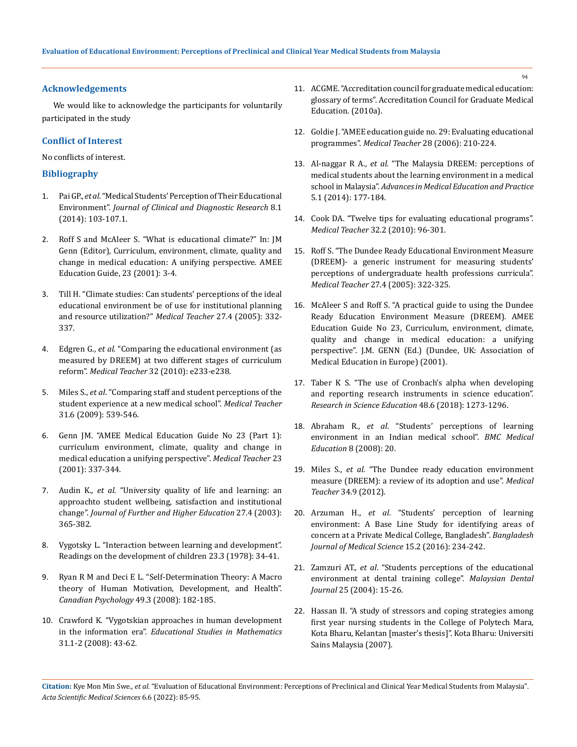#### **Acknowledgements**

We would like to acknowledge the participants for voluntarily participated in the study

#### **Conflict of Interest**

#### No conflicts of interest.

#### **Bibliography**

- 1. Pai GP., *et al*[. "Medical Students' Perception of Their Educational](https://www.ncbi.nlm.nih.gov/pmc/articles/PMC3939516/)  Environment". *[Journal of Clinical and Diagnostic Research](https://www.ncbi.nlm.nih.gov/pmc/articles/PMC3939516/)* 8.1 [\(2014\): 103-107.1.](https://www.ncbi.nlm.nih.gov/pmc/articles/PMC3939516/)
- 2. Roff S and McAleer S. "What is educational climate?" In: JM Genn (Editor), Curriculum, environment, climate, quality and change in medical education: A unifying perspective. AMEE Education Guide, 23 (2001): 3-4.
- 3. [Till H. "Climate studies: Can students' perceptions of the ideal](https://pubmed.ncbi.nlm.nih.gov/16024416/)  [educational environment be of use for institutional planning](https://pubmed.ncbi.nlm.nih.gov/16024416/)  [and resource utilization?"](https://pubmed.ncbi.nlm.nih.gov/16024416/) *Medical Teacher* 27.4 (2005): 332- [337.](https://pubmed.ncbi.nlm.nih.gov/16024416/)
- 4. Edgren G., *et al*[. "Comparing the educational environment \(as](https://pubmed.ncbi.nlm.nih.gov/20515368/)  [measured by DREEM\) at two different stages of curriculum](https://pubmed.ncbi.nlm.nih.gov/20515368/)  reform". *Medical Teacher* [32 \(2010\): e233-e238.](https://pubmed.ncbi.nlm.nih.gov/20515368/)
- 5. Miles S., *et al*[. "Comparing staff and student perceptions of the](https://pubmed.ncbi.nlm.nih.gov/19811170/)  [student experience at a new medical school".](https://pubmed.ncbi.nlm.nih.gov/19811170/) *Medical Teacher* [31.6 \(2009\): 539-546.](https://pubmed.ncbi.nlm.nih.gov/19811170/)
- 6. [Genn JM. "AMEE Medical Education Guide No 23 \(Part 1\):](https://pubmed.ncbi.nlm.nih.gov/12098379/)  [curriculum environment, climate, quality and change in](https://pubmed.ncbi.nlm.nih.gov/12098379/)  [medical education a unifying perspective".](https://pubmed.ncbi.nlm.nih.gov/12098379/) *Medical Teacher* 23 [\(2001\): 337-344.](https://pubmed.ncbi.nlm.nih.gov/12098379/)
- 7. Audin K., *et al*[. "University quality of life and learning: an](https://www.tandfonline.com/doi/abs/10.1080/0309877032000128073)  [approachto student wellbeing, satisfaction and institutional](https://www.tandfonline.com/doi/abs/10.1080/0309877032000128073)  change". *[Journal of Further and Higher Education](https://www.tandfonline.com/doi/abs/10.1080/0309877032000128073)* 27.4 (2003): [365-382.](https://www.tandfonline.com/doi/abs/10.1080/0309877032000128073)
- 8. Vygotsky L. "Interaction between learning and development". Readings on the development of children 23.3 (1978): 34-41.
- 9. [Ryan R M and Deci E L. "Self-Determination Theory: A Macro](https://psycnet.apa.org/record/2008-10897-002)  [theory of Human Motivation, Development, and Health".](https://psycnet.apa.org/record/2008-10897-002)  *[Canadian Psychology](https://psycnet.apa.org/record/2008-10897-002)* 49.3 (2008): 182-185.
- 10. [Crawford K. "Vygotskian approaches in human development](https://www.jstor.org/stable/3482934)  in the information era". *[Educational Studies in Mathematics](https://www.jstor.org/stable/3482934)* [31.1-2 \(2008\): 43-62.](https://www.jstor.org/stable/3482934)
- 11. [ACGME. "Accreditation council for graduate medical education:](http://www.acgme.org/acWebsite/about/%20ab_ACGMEglossary.pdf)  [glossary of terms". Accreditation Council for Graduate Medical](http://www.acgme.org/acWebsite/about/%20ab_ACGMEglossary.pdf)  [Education. \(2010a\).](http://www.acgme.org/acWebsite/about/%20ab_ACGMEglossary.pdf)
- 12. [Goldie J. "AMEE education guide no. 29: Evaluating educational](https://pubmed.ncbi.nlm.nih.gov/16753718/)  programmes". *Medical Teacher* [28 \(2006\): 210-224.](https://pubmed.ncbi.nlm.nih.gov/16753718/)
- 13. Al-naggar R A., *et al*[. "The Malaysia DREEM: perceptions of](https://www.ncbi.nlm.nih.gov/pmc/articles/PMC4061139/)  [medical students about the learning environment in a medical](https://www.ncbi.nlm.nih.gov/pmc/articles/PMC4061139/)  school in Malaysia". *[Advances in Medical Education and Practice](https://www.ncbi.nlm.nih.gov/pmc/articles/PMC4061139/)* [5.1 \(2014\): 177-184.](https://www.ncbi.nlm.nih.gov/pmc/articles/PMC4061139/)
- 14. [Cook DA. "Twelve tips for evaluating educational programs".](https://pubmed.ncbi.nlm.nih.gov/20353325/)  *Medical Teacher* [32.2 \(2010\): 96-301.](https://pubmed.ncbi.nlm.nih.gov/20353325/)
- 15. [Roff S. "The Dundee Ready Educational Environment Measure](https://pubmed.ncbi.nlm.nih.gov/16024414/)  [\(DREEM\)- a generic instrument for measuring students'](https://pubmed.ncbi.nlm.nih.gov/16024414/)  [perceptions of undergraduate health professions curricula".](https://pubmed.ncbi.nlm.nih.gov/16024414/)  *Medical Teacher* [27.4 \(2005\): 322-325.](https://pubmed.ncbi.nlm.nih.gov/16024414/)
- 16. McAleer S and Roff S. "A practical guide to using the Dundee Ready Education Environment Measure (DREEM). AMEE Education Guide No 23, Curriculum, environment, climate, quality and change in medical education: a unifying perspective". J.M. GENN (Ed.) (Dundee, UK: Association of Medical Education in Europe) (2001).
- 17. Taber K S. "The use of Cronbach's alpha when developing and reporting research instruments in science education". *Research in Science Education* 48.6 (2018): 1273-1296.
- 18. Abraham R., *et al*[. "Students' perceptions of learning](https://pubmed.ncbi.nlm.nih.gov/18402710/)  [environment in an Indian medical school".](https://pubmed.ncbi.nlm.nih.gov/18402710/) *BMC Medical Education* [8 \(2008\): 20.](https://pubmed.ncbi.nlm.nih.gov/18402710/)
- 19. Miles S., *et al*[. "The Dundee ready education environment](https://pubmed.ncbi.nlm.nih.gov/22471916/)  [measure \(DREEM\): a review of its adoption and use".](https://pubmed.ncbi.nlm.nih.gov/22471916/) *Medical Teacher* [34.9 \(2012\).](https://pubmed.ncbi.nlm.nih.gov/22471916/)
- 20. Arzuman H., *et al*[. "Students' perception of learning](https://www.banglajol.info/index.php/BJMS/article/view/28793)  [environment: A Base Line Study for identifying areas of](https://www.banglajol.info/index.php/BJMS/article/view/28793)  [concern at a Private Medical College, Bangladesh".](https://www.banglajol.info/index.php/BJMS/article/view/28793) *Bangladesh [Journal of Medical Science](https://www.banglajol.info/index.php/BJMS/article/view/28793)* 15.2 (2016): 234-242.
- 21. Zamzuri AT., *et al*[. "Students perceptions of the educational](https://bmcmededuc.biomedcentral.com/articles/10.1186/s12909-020-02165-7)  [environment at dental training college".](https://bmcmededuc.biomedcentral.com/articles/10.1186/s12909-020-02165-7) *Malaysian Dental Journal* [25 \(2004\): 15-26.](https://bmcmededuc.biomedcentral.com/articles/10.1186/s12909-020-02165-7)
- 22. Hassan II. "A study of stressors and coping strategies among first year nursing students in the College of Polytech Mara, Kota Bharu, Kelantan [master's thesis]". Kota Bharu: Universiti Sains Malaysia (2007).

**Citation:** Kye Mon Min Swe*., et al.* "Evaluation of Educational Environment: Perceptions of Preclinical and Clinical Year Medical Students from Malaysia". *Acta Scientific Medical Sciences* 6.6 (2022): 85-95.